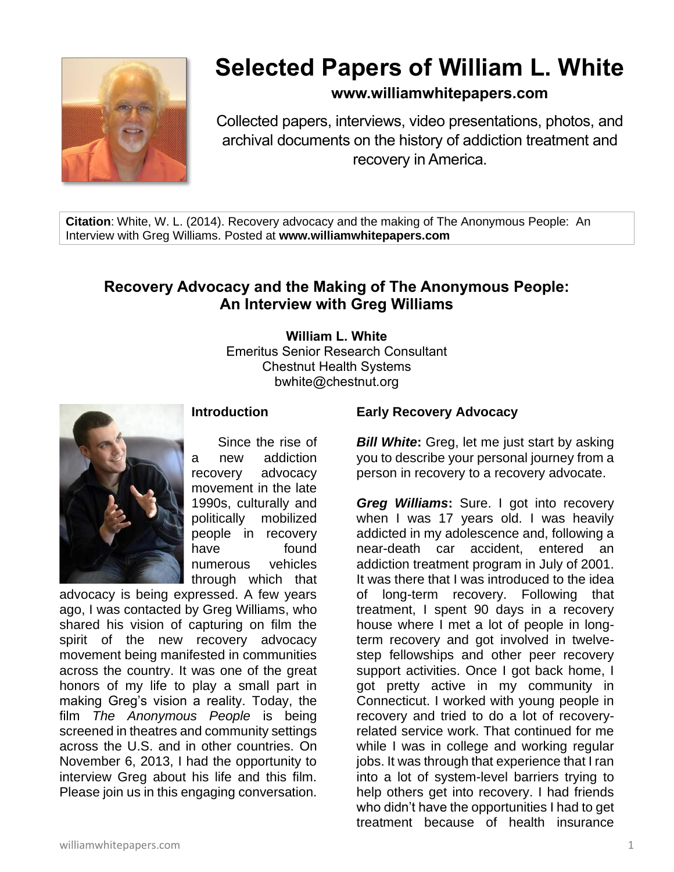

# **Selected Papers of William L. White**

# **www.williamwhitepapers.com**

Collected papers, interviews, video presentations, photos, and archival documents on the history of addiction treatment and recovery in America.

**Citation**: White, W. L. (2014). Recovery advocacy and the making of The Anonymous People: An Interview with Greg Williams. Posted at **www.williamwhitepapers.com**

# **Recovery Advocacy and the Making of The Anonymous People: An Interview with Greg Williams**

**William L. White** Emeritus Senior Research Consultant Chestnut Health Systems bwhite@chestnut.org



#### **Introduction**

Since the rise of a new addiction recovery advocacy movement in the late 1990s, culturally and politically mobilized people in recovery have found numerous vehicles through which that

advocacy is being expressed. A few years ago, I was contacted by Greg Williams, who shared his vision of capturing on film the spirit of the new recovery advocacy movement being manifested in communities across the country. It was one of the great honors of my life to play a small part in making Greg's vision a reality. Today, the film *The Anonymous People* is being screened in theatres and community settings across the U.S. and in other countries. On November 6, 2013, I had the opportunity to interview Greg about his life and this film. Please join us in this engaging conversation.

## **Early Recovery Advocacy**

*Bill White***:** Greg, let me just start by asking you to describe your personal journey from a person in recovery to a recovery advocate.

*Greg Williams***:** Sure. I got into recovery when I was 17 years old. I was heavily addicted in my adolescence and, following a near-death car accident, entered an addiction treatment program in July of 2001. It was there that I was introduced to the idea of long-term recovery. Following that treatment, I spent 90 days in a recovery house where I met a lot of people in longterm recovery and got involved in twelvestep fellowships and other peer recovery support activities. Once I got back home, I got pretty active in my community in Connecticut. I worked with young people in recovery and tried to do a lot of recoveryrelated service work. That continued for me while I was in college and working regular jobs. It was through that experience that I ran into a lot of system-level barriers trying to help others get into recovery. I had friends who didn't have the opportunities I had to get treatment because of health insurance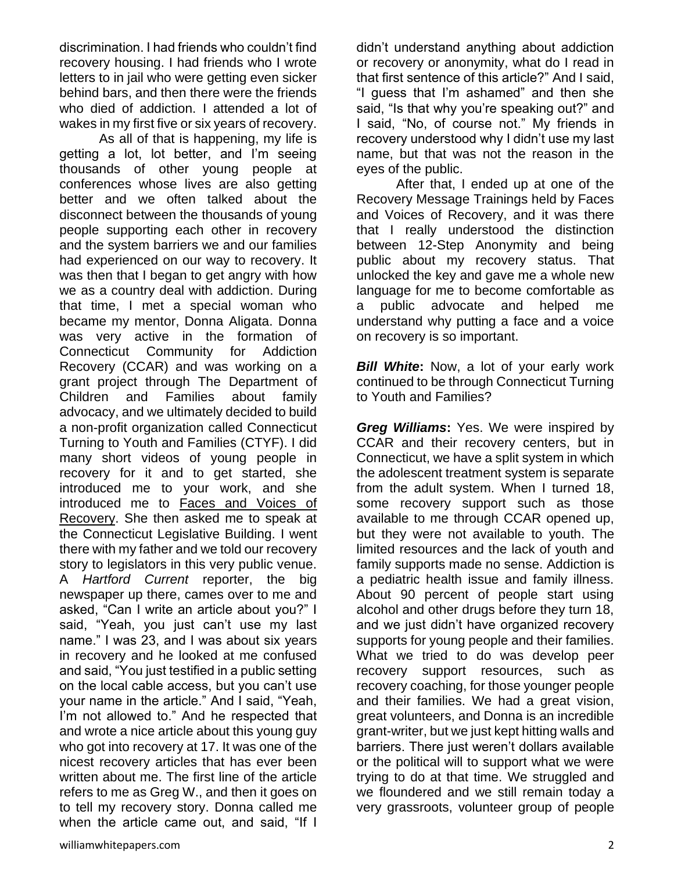discrimination. I had friends who couldn't find recovery housing. I had friends who I wrote letters to in jail who were getting even sicker behind bars, and then there were the friends who died of addiction. I attended a lot of wakes in my first five or six years of recovery.

As all of that is happening, my life is getting a lot, lot better, and I'm seeing thousands of other young people at conferences whose lives are also getting better and we often talked about the disconnect between the thousands of young people supporting each other in recovery and the system barriers we and our families had experienced on our way to recovery. It was then that I began to get angry with how we as a country deal with addiction. During that time, I met a special woman who became my mentor, Donna Aligata. Donna was very active in the formation of Connecticut Community for Addiction Recovery (CCAR) and was working on a grant project through The Department of Children and Families about family advocacy, and we ultimately decided to build a non-profit organization called Connecticut Turning to Youth and Families (CTYF). I did many short videos of young people in recovery for it and to get started, she introduced me to your work, and she introduced me to [Faces and Voices of](http://www.facesandvoicesofrecovery.org/)  [Recovery.](http://www.facesandvoicesofrecovery.org/) She then asked me to speak at the Connecticut Legislative Building. I went there with my father and we told our recovery story to legislators in this very public venue. A *Hartford Current* reporter, the big newspaper up there, cames over to me and asked, "Can I write an article about you?" I said, "Yeah, you just can't use my last name." I was 23, and I was about six years in recovery and he looked at me confused and said, "You just testified in a public setting on the local cable access, but you can't use your name in the article." And I said, "Yeah, I'm not allowed to." And he respected that and wrote a nice article about this young guy who got into recovery at 17. It was one of the nicest recovery articles that has ever been written about me. The first line of the article refers to me as Greg W., and then it goes on to tell my recovery story. Donna called me when the article came out, and said, "If I didn't understand anything about addiction or recovery or anonymity, what do I read in that first sentence of this article?" And I said, "I guess that I'm ashamed" and then she said, "Is that why you're speaking out?" and I said, "No, of course not." My friends in recovery understood why I didn't use my last name, but that was not the reason in the eyes of the public.

After that, I ended up at one of the Recovery Message Trainings held by Faces and Voices of Recovery, and it was there that I really understood the distinction between 12-Step Anonymity and being public about my recovery status. That unlocked the key and gave me a whole new language for me to become comfortable as a public advocate and helped me understand why putting a face and a voice on recovery is so important.

*Bill White***:** Now, a lot of your early work continued to be through Connecticut Turning to Youth and Families?

*Greg Williams***:** Yes. We were inspired by CCAR and their recovery centers, but in Connecticut, we have a split system in which the adolescent treatment system is separate from the adult system. When I turned 18, some recovery support such as those available to me through CCAR opened up, but they were not available to youth. The limited resources and the lack of youth and family supports made no sense. Addiction is a pediatric health issue and family illness. About 90 percent of people start using alcohol and other drugs before they turn 18, and we just didn't have organized recovery supports for young people and their families. What we tried to do was develop peer recovery support resources, such as recovery coaching, for those younger people and their families. We had a great vision, great volunteers, and Donna is an incredible grant-writer, but we just kept hitting walls and barriers. There just weren't dollars available or the political will to support what we were trying to do at that time. We struggled and we floundered and we still remain today a very grassroots, volunteer group of people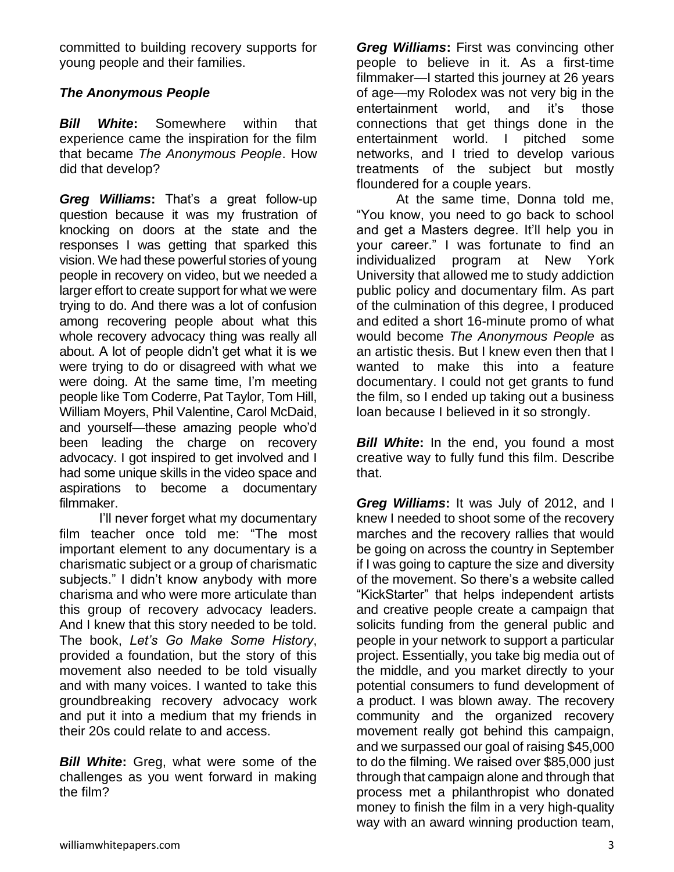committed to building recovery supports for young people and their families.

## *The Anonymous People*

*Bill White***:** Somewhere within that experience came the inspiration for the film that became *The Anonymous People*. How did that develop?

*Greg Williams***:** That's a great follow-up question because it was my frustration of knocking on doors at the state and the responses I was getting that sparked this vision. We had these powerful stories of young people in recovery on video, but we needed a larger effort to create support for what we were trying to do. And there was a lot of confusion among recovering people about what this whole recovery advocacy thing was really all about. A lot of people didn't get what it is we were trying to do or disagreed with what we were doing. At the same time, I'm meeting people like Tom Coderre, Pat Taylor, Tom Hill, William Moyers, Phil Valentine, Carol McDaid, and yourself—these amazing people who'd been leading the charge on recovery advocacy. I got inspired to get involved and I had some unique skills in the video space and aspirations to become a documentary filmmaker.

I'll never forget what my documentary film teacher once told me: "The most important element to any documentary is a charismatic subject or a group of charismatic subjects." I didn't know anybody with more charisma and who were more articulate than this group of recovery advocacy leaders. And I knew that this story needed to be told. The book, *Let's Go Make Some History*, provided a foundation, but the story of this movement also needed to be told visually and with many voices. I wanted to take this groundbreaking recovery advocacy work and put it into a medium that my friends in their 20s could relate to and access.

*Bill White***:** Greg, what were some of the challenges as you went forward in making the film?

*Greg Williams***:** First was convincing other people to believe in it. As a first-time filmmaker—I started this journey at 26 years of age—my Rolodex was not very big in the entertainment world, and it's those connections that get things done in the entertainment world. I pitched some networks, and I tried to develop various treatments of the subject but mostly floundered for a couple years.

At the same time, Donna told me, "You know, you need to go back to school and get a Masters degree. It'll help you in your career." I was fortunate to find an individualized program at New York University that allowed me to study addiction public policy and documentary film. As part of the culmination of this degree, I produced and edited a short 16-minute promo of what would become *The Anonymous People* as an artistic thesis. But I knew even then that I wanted to make this into a feature documentary. I could not get grants to fund the film, so I ended up taking out a business loan because I believed in it so strongly.

**Bill White:** In the end, you found a most creative way to fully fund this film. Describe that.

*Greg Williams***:** It was July of 2012, and I knew I needed to shoot some of the recovery marches and the recovery rallies that would be going on across the country in September if I was going to capture the size and diversity of the movement. So there's a website called "KickStarter" that helps independent artists and creative people create a campaign that solicits funding from the general public and people in your network to support a particular project. Essentially, you take big media out of the middle, and you market directly to your potential consumers to fund development of a product. I was blown away. The recovery community and the organized recovery movement really got behind this campaign, and we surpassed our goal of raising \$45,000 to do the filming. We raised over \$85,000 just through that campaign alone and through that process met a philanthropist who donated money to finish the film in a very high-quality way with an award winning production team,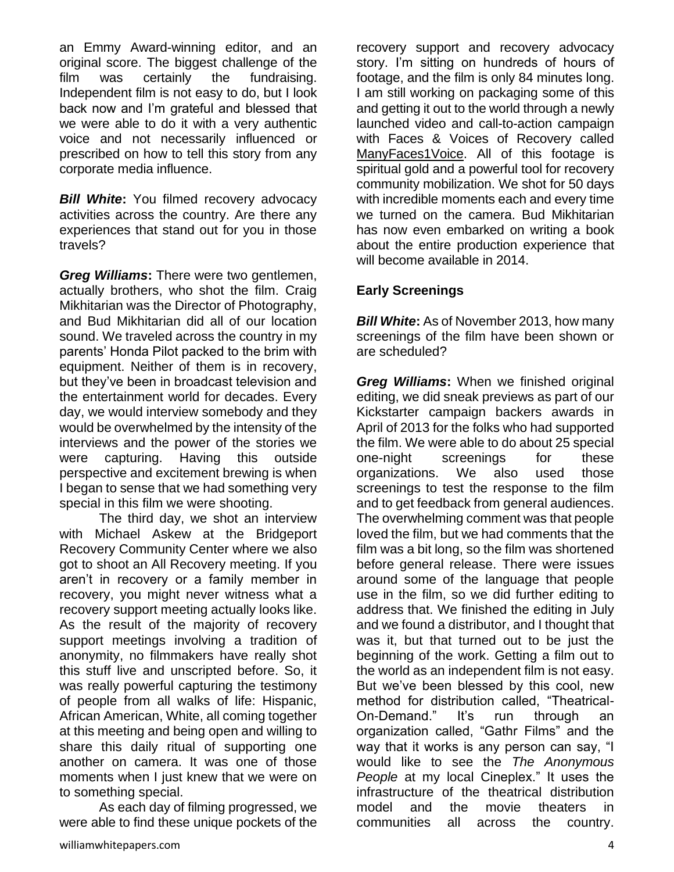an Emmy Award-winning editor, and an original score. The biggest challenge of the film was certainly the fundraising. Independent film is not easy to do, but I look back now and I'm grateful and blessed that we were able to do it with a very authentic voice and not necessarily influenced or prescribed on how to tell this story from any corporate media influence.

**Bill White:** You filmed recovery advocacy activities across the country. Are there any experiences that stand out for you in those travels?

*Greg Williams***:** There were two gentlemen, actually brothers, who shot the film. Craig Mikhitarian was the Director of Photography, and Bud Mikhitarian did all of our location sound. We traveled across the country in my parents' Honda Pilot packed to the brim with equipment. Neither of them is in recovery, but they've been in broadcast television and the entertainment world for decades. Every day, we would interview somebody and they would be overwhelmed by the intensity of the interviews and the power of the stories we were capturing. Having this outside perspective and excitement brewing is when I began to sense that we had something very special in this film we were shooting.

The third day, we shot an interview with Michael Askew at the Bridgeport Recovery Community Center where we also got to shoot an All Recovery meeting. If you aren't in recovery or a family member in recovery, you might never witness what a recovery support meeting actually looks like. As the result of the majority of recovery support meetings involving a tradition of anonymity, no filmmakers have really shot this stuff live and unscripted before. So, it was really powerful capturing the testimony of people from all walks of life: Hispanic, African American, White, all coming together at this meeting and being open and willing to share this daily ritual of supporting one another on camera. It was one of those moments when I just knew that we were on to something special.

As each day of filming progressed, we were able to find these unique pockets of the

recovery support and recovery advocacy story. I'm sitting on hundreds of hours of footage, and the film is only 84 minutes long. I am still working on packaging some of this and getting it out to the world through a newly launched video and call-to-action campaign with Faces & Voices of Recovery called [ManyFaces1Voice.](http://manyfaces1voice.org/) All of this footage is spiritual gold and a powerful tool for recovery community mobilization. We shot for 50 days with incredible moments each and every time we turned on the camera. Bud Mikhitarian has now even embarked on writing a book about the entire production experience that will become available in 2014.

## **Early Screenings**

*Bill White***:** As of November 2013, how many screenings of the film have been shown or are scheduled?

*Greg Williams***:** When we finished original editing, we did sneak previews as part of our Kickstarter campaign backers awards in April of 2013 for the folks who had supported the film. We were able to do about 25 special one-night screenings for these organizations. We also used those screenings to test the response to the film and to get feedback from general audiences. The overwhelming comment was that people loved the film, but we had comments that the film was a bit long, so the film was shortened before general release. There were issues around some of the language that people use in the film, so we did further editing to address that. We finished the editing in July and we found a distributor, and I thought that was it, but that turned out to be just the beginning of the work. Getting a film out to the world as an independent film is not easy. But we've been blessed by this cool, new method for distribution called, "Theatrical-On-Demand." It's run through an organization called, "Gathr Films" and the way that it works is any person can say, "I would like to see the *The Anonymous People* at my local Cineplex." It uses the infrastructure of the theatrical distribution model and the movie theaters in communities all across the country.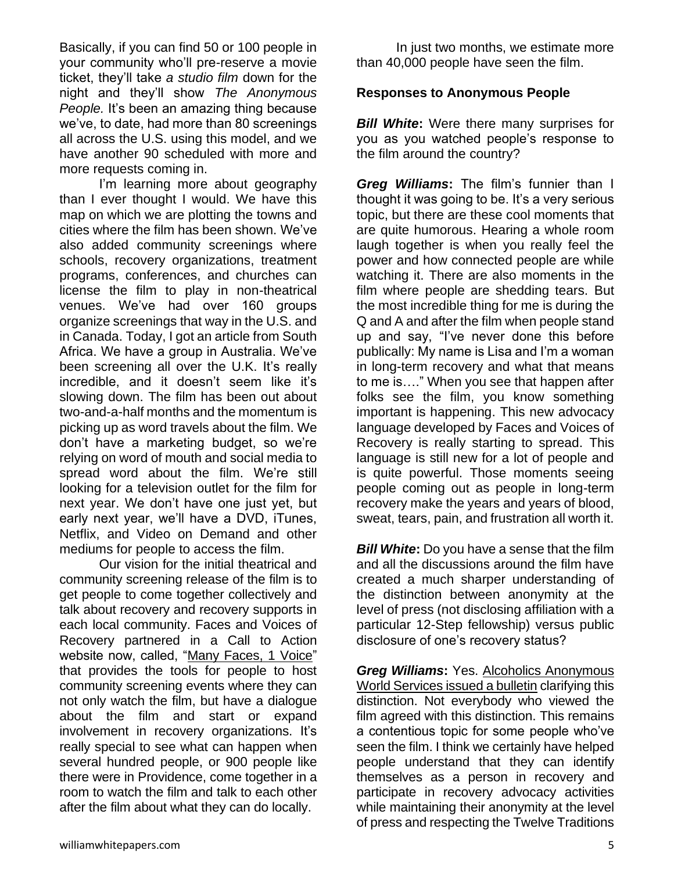Basically, if you can find 50 or 100 people in your community who'll pre-reserve a movie ticket, they'll take *a studio film* down for the night and they'll show *The Anonymous People.* It's been an amazing thing because we've, to date, had more than 80 screenings all across the U.S. using this model, and we have another 90 scheduled with more and more requests coming in.

I'm learning more about geography than I ever thought I would. We have this map on which we are plotting the towns and cities where the film has been shown. We've also added community screenings where schools, recovery organizations, treatment programs, conferences, and churches can license the film to play in non-theatrical venues. We've had over 160 groups organize screenings that way in the U.S. and in Canada. Today, I got an article from South Africa. We have a group in Australia. We've been screening all over the U.K. It's really incredible, and it doesn't seem like it's slowing down. The film has been out about two-and-a-half months and the momentum is picking up as word travels about the film. We don't have a marketing budget, so we're relying on word of mouth and social media to spread word about the film. We're still looking for a television outlet for the film for next year. We don't have one just yet, but early next year, we'll have a DVD, iTunes, Netflix, and Video on Demand and other mediums for people to access the film.

Our vision for the initial theatrical and community screening release of the film is to get people to come together collectively and talk about recovery and recovery supports in each local community. Faces and Voices of Recovery partnered in a Call to Action website now, called, ["Many Faces, 1 Voice"](http://manyfaces1voice.org/) that provides the tools for people to host community screening events where they can not only watch the film, but have a dialogue about the film and start or expand involvement in recovery organizations. It's really special to see what can happen when several hundred people, or 900 people like there were in Providence, come together in a room to watch the film and talk to each other after the film about what they can do locally.

In just two months, we estimate more than 40,000 people have seen the film.

#### **Responses to Anonymous People**

*Bill White***:** Were there many surprises for you as you watched people's response to the film around the country?

*Greg Williams***:** The film's funnier than I thought it was going to be. It's a very serious topic, but there are these cool moments that are quite humorous. Hearing a whole room laugh together is when you really feel the power and how connected people are while watching it. There are also moments in the film where people are shedding tears. But the most incredible thing for me is during the Q and A and after the film when people stand up and say, "I've never done this before publically: My name is Lisa and I'm a woman in long-term recovery and what that means to me is…." When you see that happen after folks see the film, you know something important is happening. This new advocacy language developed by Faces and Voices of Recovery is really starting to spread. This language is still new for a lot of people and is quite powerful. Those moments seeing people coming out as people in long-term recovery make the years and years of blood, sweat, tears, pain, and frustration all worth it.

*Bill White:* Do you have a sense that the film and all the discussions around the film have created a much sharper understanding of the distinction between anonymity at the level of press (not disclosing affiliation with a particular 12-Step fellowship) versus public disclosure of one's recovery status?

*Greg Williams***:** Yes. [Alcoholics Anonymous](http://manyfaces1voice.org/assets/docs/Nov112013/Documentary-about-Anonymity.pdf)  [World Services issued a bulletin](http://manyfaces1voice.org/assets/docs/Nov112013/Documentary-about-Anonymity.pdf) clarifying this distinction. Not everybody who viewed the film agreed with this distinction. This remains a contentious topic for some people who've seen the film. I think we certainly have helped people understand that they can identify themselves as a person in recovery and participate in recovery advocacy activities while maintaining their anonymity at the level of press and respecting the Twelve Traditions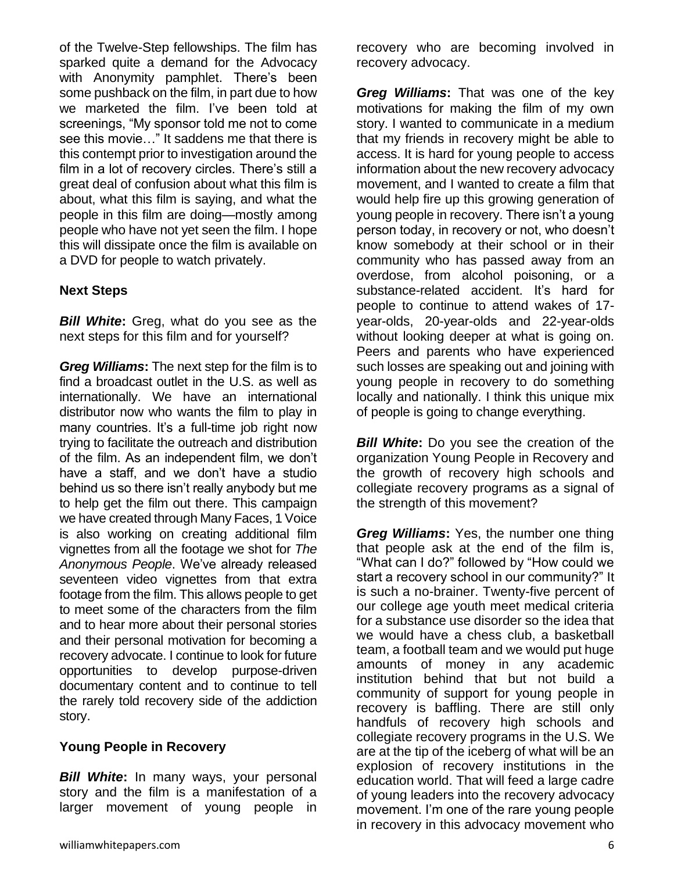of the Twelve-Step fellowships. The film has sparked quite a demand for the Advocacy with Anonymity pamphlet. There's been some pushback on the film, in part due to how we marketed the film. I've been told at screenings, "My sponsor told me not to come see this movie…" It saddens me that there is this contempt prior to investigation around the film in a lot of recovery circles. There's still a great deal of confusion about what this film is about, what this film is saying, and what the people in this film are doing—mostly among people who have not yet seen the film. I hope this will dissipate once the film is available on a DVD for people to watch privately.

## **Next Steps**

*Bill White***:** Greg, what do you see as the next steps for this film and for yourself?

*Greg Williams***:** The next step for the film is to find a broadcast outlet in the U.S. as well as internationally. We have an international distributor now who wants the film to play in many countries. It's a full-time job right now trying to facilitate the outreach and distribution of the film. As an independent film, we don't have a staff, and we don't have a studio behind us so there isn't really anybody but me to help get the film out there. This campaign we have created through Many Faces, 1 Voice is also working on creating additional film vignettes from all the footage we shot for *The Anonymous People*. We've already released seventeen video vignettes from that extra footage from the film. This allows people to get to meet some of the characters from the film and to hear more about their personal stories and their personal motivation for becoming a recovery advocate. I continue to look for future opportunities to develop purpose-driven documentary content and to continue to tell the rarely told recovery side of the addiction story.

#### **Young People in Recovery**

*Bill White***:** In many ways, your personal story and the film is a manifestation of a larger movement of young people in

recovery who are becoming involved in recovery advocacy.

*Greg Williams***:** That was one of the key motivations for making the film of my own story. I wanted to communicate in a medium that my friends in recovery might be able to access. It is hard for young people to access information about the new recovery advocacy movement, and I wanted to create a film that would help fire up this growing generation of young people in recovery. There isn't a young person today, in recovery or not, who doesn't know somebody at their school or in their community who has passed away from an overdose, from alcohol poisoning, or a substance-related accident. It's hard for people to continue to attend wakes of 17 year-olds, 20-year-olds and 22-year-olds without looking deeper at what is going on. Peers and parents who have experienced such losses are speaking out and joining with young people in recovery to do something locally and nationally. I think this unique mix of people is going to change everything.

*Bill White***:** Do you see the creation of the organization Young People in Recovery and the growth of recovery high schools and collegiate recovery programs as a signal of the strength of this movement?

*Greg Williams***:** Yes, the number one thing that people ask at the end of the film is, "What can I do?" followed by "How could we start a recovery school in our community?" It is such a no-brainer. Twenty-five percent of our college age youth meet medical criteria for a substance use disorder so the idea that we would have a chess club, a basketball team, a football team and we would put huge amounts of money in any academic institution behind that but not build a community of support for young people in recovery is baffling. There are still only handfuls of recovery high schools and collegiate recovery programs in the U.S. We are at the tip of the iceberg of what will be an explosion of recovery institutions in the education world. That will feed a large cadre of young leaders into the recovery advocacy movement. I'm one of the rare young people in recovery in this advocacy movement who